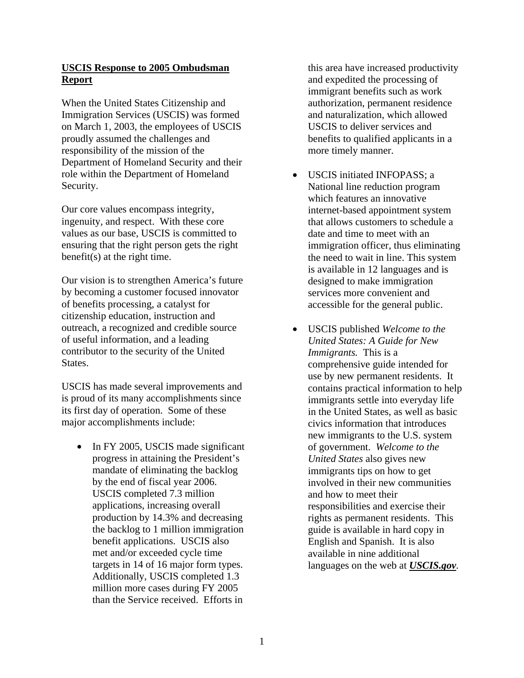# **USCIS Response to 2005 Ombudsman Report**

When the United States Citizenship and Immigration Services (USCIS) was formed on March 1, 2003, the employees of USCIS proudly assumed the challenges and responsibility of the mission of the Department of Homeland Security and their role within the Department of Homeland Security.

Our core values encompass integrity, ingenuity, and respect. With these core values as our base, USCIS is committed to ensuring that the right person gets the right benefit(s) at the right time.

Our vision is to strengthen America's future by becoming a customer focused innovator of benefits processing, a catalyst for citizenship education, instruction and outreach, a recognized and credible source of useful information, and a leading contributor to the security of the United States.

USCIS has made several improvements and is proud of its many accomplishments since its first day of operation. Some of these major accomplishments include:

• In FY 2005, USCIS made significant progress in attaining the President's mandate of eliminating the backlog by the end of fiscal year 2006. USCIS completed 7.3 million applications, increasing overall production by 14.3% and decreasing the backlog to 1 million immigration benefit applications. USCIS also met and/or exceeded cycle time targets in 14 of 16 major form types. Additionally, USCIS completed 1.3 million more cases during FY 2005 than the Service received. Efforts in

this area have increased productivity and expedited the processing of immigrant benefits such as work authorization, permanent residence and naturalization, which allowed USCIS to deliver services and benefits to qualified applicants in a more timely manner.

- USCIS initiated INFOPASS; a National line reduction program which features an innovative internet-based appointment system that allows customers to schedule a date and time to meet with an immigration officer, thus eliminating the need to wait in line. This system is available in 12 languages and is designed to make immigration services more convenient and accessible for the general public.
- USCIS published *Welcome to the United States: A Guide for New Immigrants.* This is a comprehensive guide intended for use by new permanent residents. It contains practical information to help immigrants settle into everyday life in the United States, as well as basic civics information that introduces new immigrants to the U.S. system of government. *Welcome to the United States* also gives new immigrants tips on how to get involved in their new communities and how to meet their responsibilities and exercise their rights as permanent residents. This guide is available in hard copy in English and Spanish. It is also available in nine additional languages on the web at *USCIS.gov.*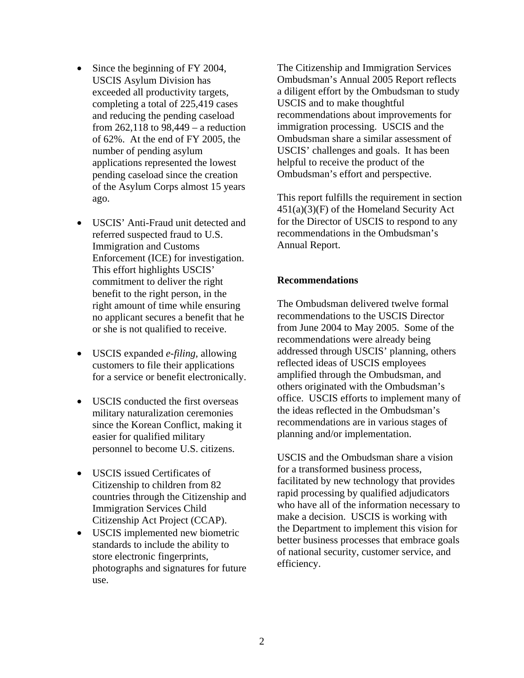- Since the beginning of FY 2004, USCIS Asylum Division has exceeded all productivity targets, completing a total of 225,419 cases and reducing the pending caseload from 262,118 to 98,449 – a reduction of 62%. At the end of FY 2005, the number of pending asylum applications represented the lowest pending caseload since the creation of the Asylum Corps almost 15 years ago.
- USCIS' Anti-Fraud unit detected and referred suspected fraud to U.S. Immigration and Customs Enforcement (ICE) for investigation. This effort highlights USCIS' commitment to deliver the right benefit to the right person, in the right amount of time while ensuring no applicant secures a benefit that he or she is not qualified to receive.
- USCIS expanded *e-filing,* allowing customers to file their applications for a service or benefit electronically.
- USCIS conducted the first overseas military naturalization ceremonies since the Korean Conflict, making it easier for qualified military personnel to become U.S. citizens.
- USCIS issued Certificates of Citizenship to children from 82 countries through the Citizenship and Immigration Services Child Citizenship Act Project (CCAP).
- USCIS implemented new biometric standards to include the ability to store electronic fingerprints, photographs and signatures for future use.

The Citizenship and Immigration Services Ombudsman's Annual 2005 Report reflects a diligent effort by the Ombudsman to study USCIS and to make thoughtful recommendations about improvements for immigration processing. USCIS and the Ombudsman share a similar assessment of USCIS' challenges and goals. It has been helpful to receive the product of the Ombudsman's effort and perspective.

This report fulfills the requirement in section  $451(a)(3)$ (F) of the Homeland Security Act for the Director of USCIS to respond to any recommendations in the Ombudsman's Annual Report.

# **Recommendations**

The Ombudsman delivered twelve formal recommendations to the USCIS Director from June 2004 to May 2005. Some of the recommendations were already being addressed through USCIS' planning, others reflected ideas of USCIS employees amplified through the Ombudsman, and others originated with the Ombudsman's office. USCIS efforts to implement many of the ideas reflected in the Ombudsman's recommendations are in various stages of planning and/or implementation.

USCIS and the Ombudsman share a vision for a transformed business process, facilitated by new technology that provides rapid processing by qualified adjudicators who have all of the information necessary to make a decision. USCIS is working with the Department to implement this vision for better business processes that embrace goals of national security, customer service, and efficiency.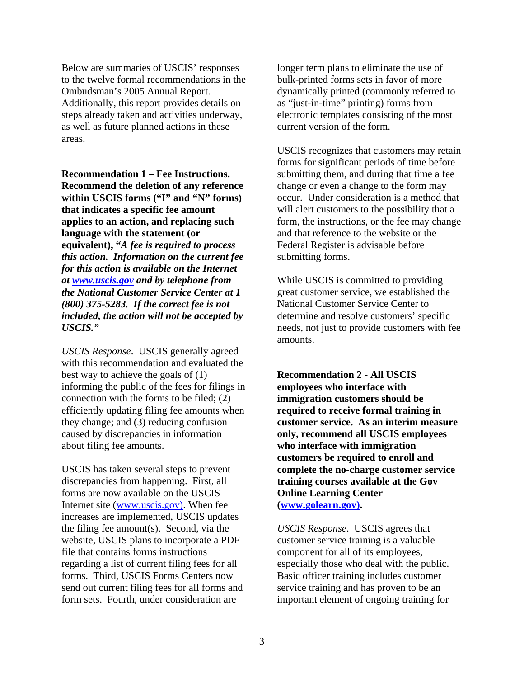Below are summaries of USCIS' responses to the twelve formal recommendations in the Ombudsman's 2005 Annual Report. Additionally, this report provides details on steps already taken and activities underway, as well as future planned actions in these areas.

**Recommendation 1 – Fee Instructions. Recommend the deletion of any reference within USCIS forms ("I" and "N" forms) that indicates a specific fee amount applies to an action, and replacing such language with the statement (or equivalent), "***A fee is required to process this action. Information on the current fee for this action is available on the Internet at www.uscis.gov and by telephone from the National Customer Service Center at 1 (800) 375-5283. If the correct fee is not included, the action will not be accepted by USCIS."* 

*USCIS Response*. USCIS generally agreed with this recommendation and evaluated the best way to achieve the goals of (1) informing the public of the fees for filings in connection with the forms to be filed; (2) efficiently updating filing fee amounts when they change; and (3) reducing confusion caused by discrepancies in information about filing fee amounts.

USCIS has taken several steps to prevent discrepancies from happening. First, all forms are now available on the USCIS Internet site (www.uscis.gov). When fee increases are implemented, USCIS updates the filing fee amount(s). Second, via the website, USCIS plans to incorporate a PDF file that contains forms instructions regarding a list of current filing fees for all forms. Third, USCIS Forms Centers now send out current filing fees for all forms and form sets. Fourth, under consideration are

longer term plans to eliminate the use of bulk-printed forms sets in favor of more dynamically printed (commonly referred to as "just-in-time" printing) forms from electronic templates consisting of the most current version of the form.

USCIS recognizes that customers may retain forms for significant periods of time before submitting them, and during that time a fee change or even a change to the form may occur. Under consideration is a method that will alert customers to the possibility that a form, the instructions, or the fee may change and that reference to the website or the Federal Register is advisable before submitting forms.

While USCIS is committed to providing great customer service, we established the National Customer Service Center to determine and resolve customers' specific needs, not just to provide customers with fee amounts.

**Recommendation 2 - All USCIS employees who interface with immigration customers should be required to receive formal training in customer service. As an interim measure only, recommend all USCIS employees who interface with immigration customers be required to enroll and complete the no-charge customer service training courses available at the Gov Online Learning Center (www.golearn.gov).** 

*USCIS Response*. USCIS agrees that customer service training is a valuable component for all of its employees, especially those who deal with the public. Basic officer training includes customer service training and has proven to be an important element of ongoing training for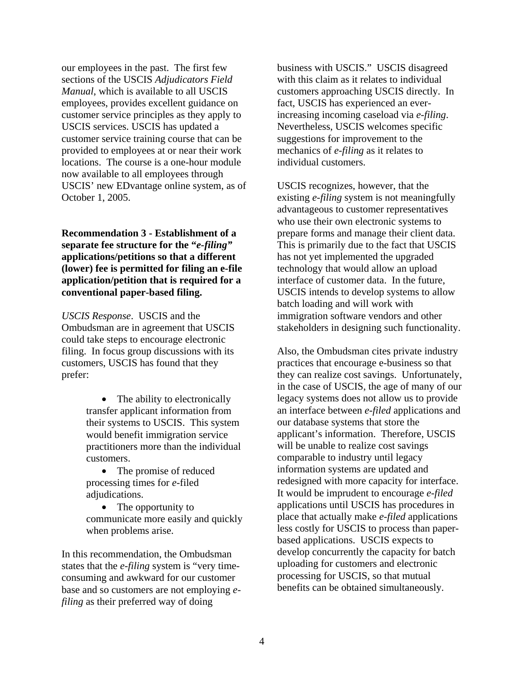our employees in the past. The first few sections of the USCIS *Adjudicators Field Manual*, which is available to all USCIS employees, provides excellent guidance on customer service principles as they apply to USCIS services. USCIS has updated a customer service training course that can be provided to employees at or near their work locations. The course is a one-hour module now available to all employees through USCIS' new EDvantage online system, as of October 1, 2005.

**Recommendation 3 - Establishment of a separate fee structure for the "***e-filing"* **applications/petitions so that a different (lower) fee is permitted for filing an e-file application/petition that is required for a conventional paper-based filing.** 

*USCIS Response*. USCIS and the Ombudsman are in agreement that USCIS could take steps to encourage electronic filing. In focus group discussions with its customers, USCIS has found that they prefer:

> • The ability to electronically transfer applicant information from their systems to USCIS. This system would benefit immigration service practitioners more than the individual customers.

• The promise of reduced processing times for *e*-filed adjudications.

• The opportunity to communicate more easily and quickly when problems arise.

In this recommendation, the Ombudsman states that the *e-filing* system is "very timeconsuming and awkward for our customer base and so customers are not employing *efiling* as their preferred way of doing

business with USCIS." USCIS disagreed with this claim as it relates to individual customers approaching USCIS directly. In fact, USCIS has experienced an everincreasing incoming caseload via *e-filing*. Nevertheless, USCIS welcomes specific suggestions for improvement to the mechanics of *e-filing* as it relates to individual customers.

USCIS recognizes, however, that the existing *e-filing* system is not meaningfully advantageous to customer representatives who use their own electronic systems to prepare forms and manage their client data. This is primarily due to the fact that USCIS has not yet implemented the upgraded technology that would allow an upload interface of customer data. In the future, USCIS intends to develop systems to allow batch loading and will work with immigration software vendors and other stakeholders in designing such functionality.

Also, the Ombudsman cites private industry practices that encourage e-business so that they can realize cost savings. Unfortunately, in the case of USCIS, the age of many of our legacy systems does not allow us to provide an interface between *e-filed* applications and our database systems that store the applicant's information. Therefore, USCIS will be unable to realize cost savings comparable to industry until legacy information systems are updated and redesigned with more capacity for interface. It would be imprudent to encourage *e-filed* applications until USCIS has procedures in place that actually make *e-filed* applications less costly for USCIS to process than paperbased applications. USCIS expects to develop concurrently the capacity for batch uploading for customers and electronic processing for USCIS, so that mutual benefits can be obtained simultaneously.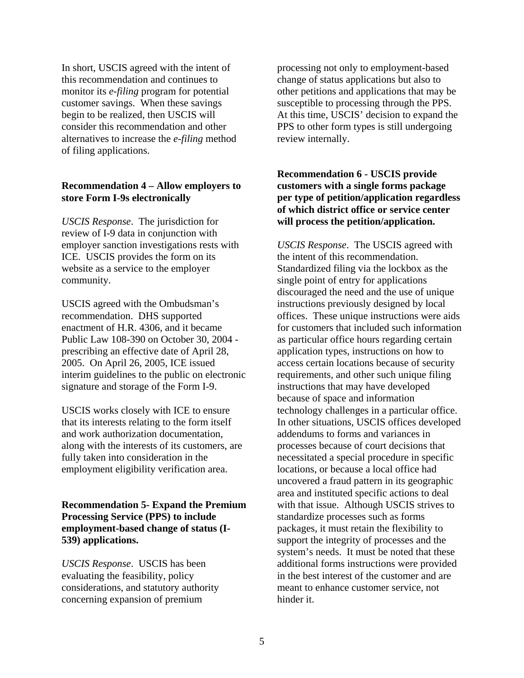In short, USCIS agreed with the intent of this recommendation and continues to monitor its *e-filing* program for potential customer savings. When these savings begin to be realized, then USCIS will consider this recommendation and other alternatives to increase the *e-filing* method of filing applications.

## **Recommendation 4 – Allow employers to store Form I-9s electronically**

*USCIS Response*. The jurisdiction for review of I-9 data in conjunction with employer sanction investigations rests with ICE. USCIS provides the form on its website as a service to the employer community.

USCIS agreed with the Ombudsman's recommendation. DHS supported enactment of H.R. 4306, and it became Public Law 108-390 on October 30, 2004 prescribing an effective date of April 28, 2005. On April 26, 2005, ICE issued interim guidelines to the public on electronic signature and storage of the Form I-9.

USCIS works closely with ICE to ensure that its interests relating to the form itself and work authorization documentation, along with the interests of its customers, are fully taken into consideration in the employment eligibility verification area.

**Recommendation 5- Expand the Premium Processing Service (PPS) to include employment-based change of status (I-539) applications.**

*USCIS Response*. USCIS has been evaluating the feasibility, policy considerations, and statutory authority concerning expansion of premium

processing not only to employment-based change of status applications but also to other petitions and applications that may be susceptible to processing through the PPS. At this time, USCIS' decision to expand the PPS to other form types is still undergoing review internally.

# **Recommendation 6 - USCIS provide customers with a single forms package per type of petition/application regardless of which district office or service center will process the petition/application.**

*USCIS Response*. The USCIS agreed with the intent of this recommendation. Standardized filing via the lockbox as the single point of entry for applications discouraged the need and the use of unique instructions previously designed by local offices. These unique instructions were aids for customers that included such information as particular office hours regarding certain application types, instructions on how to access certain locations because of security requirements, and other such unique filing instructions that may have developed because of space and information technology challenges in a particular office. In other situations, USCIS offices developed addendums to forms and variances in processes because of court decisions that necessitated a special procedure in specific locations, or because a local office had uncovered a fraud pattern in its geographic area and instituted specific actions to deal with that issue. Although USCIS strives to standardize processes such as forms packages, it must retain the flexibility to support the integrity of processes and the system's needs. It must be noted that these additional forms instructions were provided in the best interest of the customer and are meant to enhance customer service, not hinder it.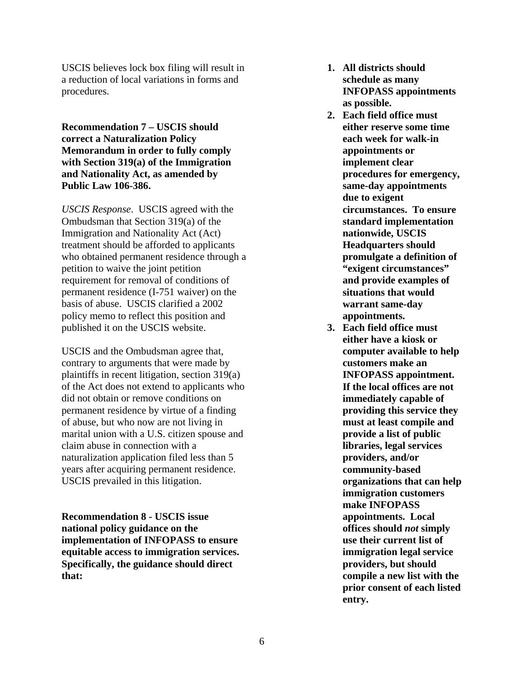USCIS believes lock box filing will result in a reduction of local variations in forms and procedures.

**Recommendation 7 – USCIS should correct a Naturalization Policy Memorandum in order to fully comply with Section 319(a) of the Immigration and Nationality Act, as amended by Public Law 106-386.** 

*USCIS Response*. USCIS agreed with the Ombudsman that Section 319(a) of the Immigration and Nationality Act (Act) treatment should be afforded to applicants who obtained permanent residence through a petition to waive the joint petition requirement for removal of conditions of permanent residence (I-751 waiver) on the basis of abuse. USCIS clarified a 2002 policy memo to reflect this position and published it on the USCIS website.

USCIS and the Ombudsman agree that, contrary to arguments that were made by plaintiffs in recent litigation, section 319(a) of the Act does not extend to applicants who did not obtain or remove conditions on permanent residence by virtue of a finding of abuse, but who now are not living in marital union with a U.S. citizen spouse and claim abuse in connection with a naturalization application filed less than 5 years after acquiring permanent residence. USCIS prevailed in this litigation.

**Recommendation 8 - USCIS issue national policy guidance on the implementation of INFOPASS to ensure equitable access to immigration services. Specifically, the guidance should direct that:** 

- **1. All districts should schedule as many INFOPASS appointments as possible.**
- **2. Each field office must either reserve some time each week for walk-in appointments or implement clear procedures for emergency, same-day appointments due to exigent circumstances. To ensure standard implementation nationwide, USCIS Headquarters should promulgate a definition of "exigent circumstances" and provide examples of situations that would warrant same-day appointments.**
- **3. Each field office must either have a kiosk or computer available to help customers make an INFOPASS appointment. If the local offices are not immediately capable of providing this service they must at least compile and provide a list of public libraries, legal services providers, and/or community-based organizations that can help immigration customers make INFOPASS appointments. Local offices should** *not* **simply use their current list of immigration legal service providers, but should compile a new list with the prior consent of each listed entry.**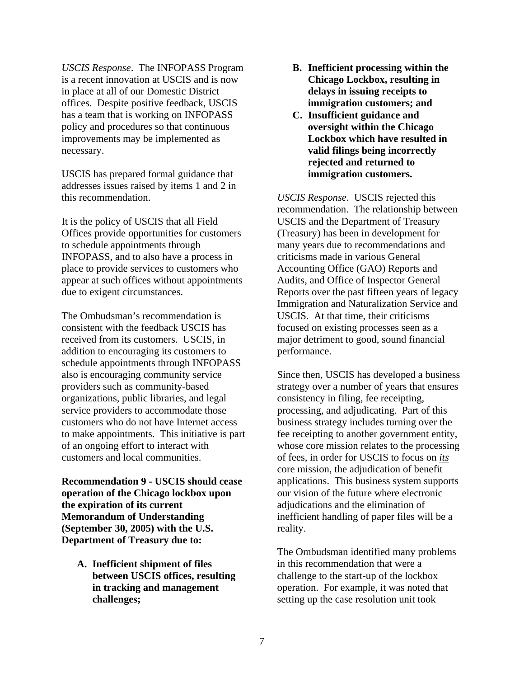*USCIS Response*. The INFOPASS Program is a recent innovation at USCIS and is now in place at all of our Domestic District offices. Despite positive feedback, USCIS has a team that is working on INFOPASS policy and procedures so that continuous improvements may be implemented as necessary.

USCIS has prepared formal guidance that addresses issues raised by items 1 and 2 in this recommendation.

It is the policy of USCIS that all Field Offices provide opportunities for customers to schedule appointments through INFOPASS, and to also have a process in place to provide services to customers who appear at such offices without appointments due to exigent circumstances.

The Ombudsman's recommendation is consistent with the feedback USCIS has received from its customers. USCIS, in addition to encouraging its customers to schedule appointments through INFOPASS also is encouraging community service providers such as community-based organizations, public libraries, and legal service providers to accommodate those customers who do not have Internet access to make appointments. This initiative is part of an ongoing effort to interact with customers and local communities.

**Recommendation 9 - USCIS should cease operation of the Chicago lockbox upon the expiration of its current Memorandum of Understanding (September 30, 2005) with the U.S. Department of Treasury due to:** 

**A. Inefficient shipment of files between USCIS offices, resulting in tracking and management challenges;** 

- **B. Inefficient processing within the Chicago Lockbox, resulting in delays in issuing receipts to immigration customers; and**
- **C. Insufficient guidance and oversight within the Chicago Lockbox which have resulted in valid filings being incorrectly rejected and returned to immigration customers.**

*USCIS Response*. USCIS rejected this recommendation. The relationship between USCIS and the Department of Treasury (Treasury) has been in development for many years due to recommendations and criticisms made in various General Accounting Office (GAO) Reports and Audits, and Office of Inspector General Reports over the past fifteen years of legacy Immigration and Naturalization Service and USCIS. At that time, their criticisms focused on existing processes seen as a major detriment to good, sound financial performance.

Since then, USCIS has developed a business strategy over a number of years that ensures consistency in filing, fee receipting, processing, and adjudicating. Part of this business strategy includes turning over the fee receipting to another government entity, whose core mission relates to the processing of fees, in order for USCIS to focus on *its* core mission, the adjudication of benefit applications. This business system supports our vision of the future where electronic adjudications and the elimination of inefficient handling of paper files will be a reality.

The Ombudsman identified many problems in this recommendation that were a challenge to the start-up of the lockbox operation. For example, it was noted that setting up the case resolution unit took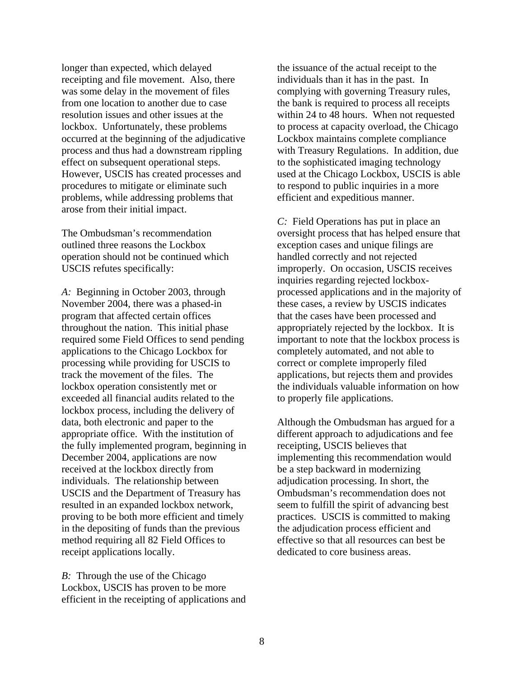longer than expected, which delayed receipting and file movement. Also, there was some delay in the movement of files from one location to another due to case resolution issues and other issues at the lockbox. Unfortunately, these problems occurred at the beginning of the adjudicative process and thus had a downstream rippling effect on subsequent operational steps. However, USCIS has created processes and procedures to mitigate or eliminate such problems, while addressing problems that arose from their initial impact.

The Ombudsman's recommendation outlined three reasons the Lockbox operation should not be continued which USCIS refutes specifically:

*A:* Beginning in October 2003, through November 2004, there was a phased-in program that affected certain offices throughout the nation. This initial phase required some Field Offices to send pending applications to the Chicago Lockbox for processing while providing for USCIS to track the movement of the files. The lockbox operation consistently met or exceeded all financial audits related to the lockbox process, including the delivery of data, both electronic and paper to the appropriate office. With the institution of the fully implemented program, beginning in December 2004, applications are now received at the lockbox directly from individuals. The relationship between USCIS and the Department of Treasury has resulted in an expanded lockbox network, proving to be both more efficient and timely in the depositing of funds than the previous method requiring all 82 Field Offices to receipt applications locally.

*B*: Through the use of the Chicago Lockbox, USCIS has proven to be more efficient in the receipting of applications and the issuance of the actual receipt to the individuals than it has in the past. In complying with governing Treasury rules, the bank is required to process all receipts within 24 to 48 hours. When not requested to process at capacity overload, the Chicago Lockbox maintains complete compliance with Treasury Regulations. In addition, due to the sophisticated imaging technology used at the Chicago Lockbox, USCIS is able to respond to public inquiries in a more efficient and expeditious manner.

*C:* Field Operations has put in place an oversight process that has helped ensure that exception cases and unique filings are handled correctly and not rejected improperly. On occasion, USCIS receives inquiries regarding rejected lockboxprocessed applications and in the majority of these cases, a review by USCIS indicates that the cases have been processed and appropriately rejected by the lockbox. It is important to note that the lockbox process is completely automated, and not able to correct or complete improperly filed applications, but rejects them and provides the individuals valuable information on how to properly file applications.

Although the Ombudsman has argued for a different approach to adjudications and fee receipting, USCIS believes that implementing this recommendation would be a step backward in modernizing adjudication processing. In short, the Ombudsman's recommendation does not seem to fulfill the spirit of advancing best practices. USCIS is committed to making the adjudication process efficient and effective so that all resources can best be dedicated to core business areas.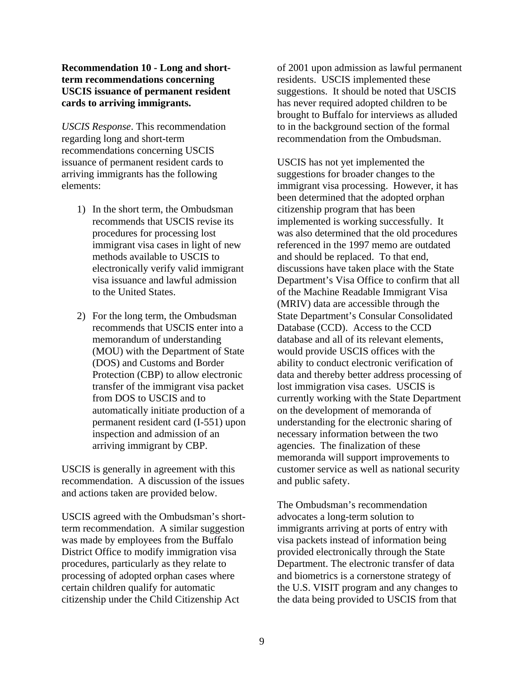## **Recommendation 10 - Long and shortterm recommendations concerning USCIS issuance of permanent resident cards to arriving immigrants.**

*USCIS Response*. This recommendation regarding long and short-term recommendations concerning USCIS issuance of permanent resident cards to arriving immigrants has the following elements:

- 1) In the short term, the Ombudsman recommends that USCIS revise its procedures for processing lost immigrant visa cases in light of new methods available to USCIS to electronically verify valid immigrant visa issuance and lawful admission to the United States.
- 2) For the long term, the Ombudsman recommends that USCIS enter into a memorandum of understanding (MOU) with the Department of State (DOS) and Customs and Border Protection (CBP) to allow electronic transfer of the immigrant visa packet from DOS to USCIS and to automatically initiate production of a permanent resident card (I-551) upon inspection and admission of an arriving immigrant by CBP.

USCIS is generally in agreement with this recommendation. A discussion of the issues and actions taken are provided below.

USCIS agreed with the Ombudsman's shortterm recommendation. A similar suggestion was made by employees from the Buffalo District Office to modify immigration visa procedures, particularly as they relate to processing of adopted orphan cases where certain children qualify for automatic citizenship under the Child Citizenship Act

of 2001 upon admission as lawful permanent residents. USCIS implemented these suggestions. It should be noted that USCIS has never required adopted children to be brought to Buffalo for interviews as alluded to in the background section of the formal recommendation from the Ombudsman.

USCIS has not yet implemented the suggestions for broader changes to the immigrant visa processing. However, it has been determined that the adopted orphan citizenship program that has been implemented is working successfully. It was also determined that the old procedures referenced in the 1997 memo are outdated and should be replaced. To that end, discussions have taken place with the State Department's Visa Office to confirm that all of the Machine Readable Immigrant Visa (MRIV) data are accessible through the State Department's Consular Consolidated Database (CCD). Access to the CCD database and all of its relevant elements, would provide USCIS offices with the ability to conduct electronic verification of data and thereby better address processing of lost immigration visa cases. USCIS is currently working with the State Department on the development of memoranda of understanding for the electronic sharing of necessary information between the two agencies. The finalization of these memoranda will support improvements to customer service as well as national security and public safety.

The Ombudsman's recommendation advocates a long-term solution to immigrants arriving at ports of entry with visa packets instead of information being provided electronically through the State Department. The electronic transfer of data and biometrics is a cornerstone strategy of the U.S. VISIT program and any changes to the data being provided to USCIS from that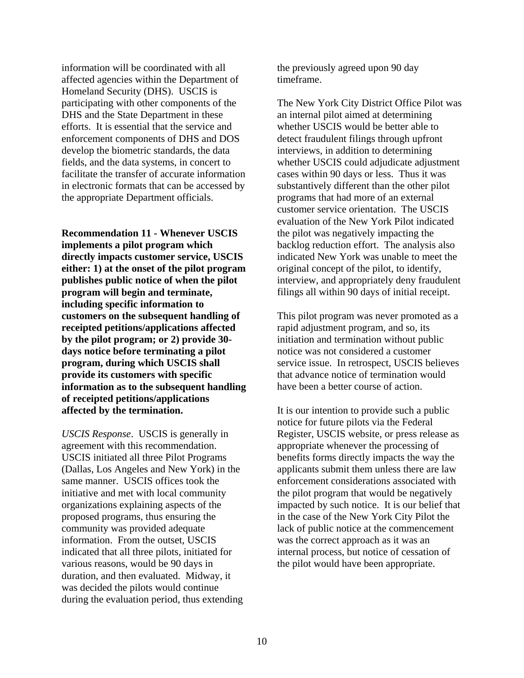information will be coordinated with all affected agencies within the Department of Homeland Security (DHS). USCIS is participating with other components of the DHS and the State Department in these efforts. It is essential that the service and enforcement components of DHS and DOS develop the biometric standards, the data fields, and the data systems, in concert to facilitate the transfer of accurate information in electronic formats that can be accessed by the appropriate Department officials.

**Recommendation 11 - Whenever USCIS implements a pilot program which directly impacts customer service, USCIS either: 1) at the onset of the pilot program publishes public notice of when the pilot program will begin and terminate, including specific information to customers on the subsequent handling of receipted petitions/applications affected by the pilot program; or 2) provide 30 days notice before terminating a pilot program, during which USCIS shall provide its customers with specific information as to the subsequent handling of receipted petitions/applications affected by the termination.** 

*USCIS Response*. USCIS is generally in agreement with this recommendation. USCIS initiated all three Pilot Programs (Dallas, Los Angeles and New York) in the same manner. USCIS offices took the initiative and met with local community organizations explaining aspects of the proposed programs, thus ensuring the community was provided adequate information. From the outset, USCIS indicated that all three pilots, initiated for various reasons, would be 90 days in duration, and then evaluated. Midway, it was decided the pilots would continue during the evaluation period, thus extending the previously agreed upon 90 day timeframe.

The New York City District Office Pilot was an internal pilot aimed at determining whether USCIS would be better able to detect fraudulent filings through upfront interviews, in addition to determining whether USCIS could adjudicate adjustment cases within 90 days or less. Thus it was substantively different than the other pilot programs that had more of an external customer service orientation. The USCIS evaluation of the New York Pilot indicated the pilot was negatively impacting the backlog reduction effort. The analysis also indicated New York was unable to meet the original concept of the pilot, to identify, interview, and appropriately deny fraudulent filings all within 90 days of initial receipt.

This pilot program was never promoted as a rapid adjustment program, and so, its initiation and termination without public notice was not considered a customer service issue. In retrospect, USCIS believes that advance notice of termination would have been a better course of action.

It is our intention to provide such a public notice for future pilots via the Federal Register, USCIS website, or press release as appropriate whenever the processing of benefits forms directly impacts the way the applicants submit them unless there are law enforcement considerations associated with the pilot program that would be negatively impacted by such notice. It is our belief that in the case of the New York City Pilot the lack of public notice at the commencement was the correct approach as it was an internal process, but notice of cessation of the pilot would have been appropriate.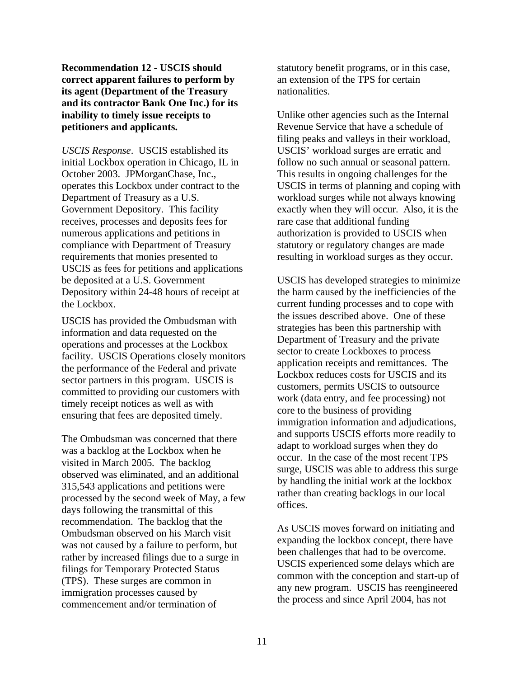**Recommendation 12 - USCIS should correct apparent failures to perform by its agent (Department of the Treasury and its contractor Bank One Inc.) for its inability to timely issue receipts to petitioners and applicants.** 

*USCIS Response*. USCIS established its initial Lockbox operation in Chicago, IL in October 2003. JPMorganChase, Inc., operates this Lockbox under contract to the Department of Treasury as a U.S. Government Depository. This facility receives, processes and deposits fees for numerous applications and petitions in compliance with Department of Treasury requirements that monies presented to USCIS as fees for petitions and applications be deposited at a U.S. Government Depository within 24-48 hours of receipt at the Lockbox.

USCIS has provided the Ombudsman with information and data requested on the operations and processes at the Lockbox facility. USCIS Operations closely monitors the performance of the Federal and private sector partners in this program. USCIS is committed to providing our customers with timely receipt notices as well as with ensuring that fees are deposited timely.

The Ombudsman was concerned that there was a backlog at the Lockbox when he visited in March 2005*.* The backlog observed was eliminated, and an additional 315,543 applications and petitions were processed by the second week of May, a few days following the transmittal of this recommendation. The backlog that the Ombudsman observed on his March visit was not caused by a failure to perform, but rather by increased filings due to a surge in filings for Temporary Protected Status (TPS). These surges are common in immigration processes caused by commencement and/or termination of

statutory benefit programs, or in this case, an extension of the TPS for certain nationalities.

Unlike other agencies such as the Internal Revenue Service that have a schedule of filing peaks and valleys in their workload, USCIS' workload surges are erratic and follow no such annual or seasonal pattern. This results in ongoing challenges for the USCIS in terms of planning and coping with workload surges while not always knowing exactly when they will occur. Also, it is the rare case that additional funding authorization is provided to USCIS when statutory or regulatory changes are made resulting in workload surges as they occur.

USCIS has developed strategies to minimize the harm caused by the inefficiencies of the current funding processes and to cope with the issues described above. One of these strategies has been this partnership with Department of Treasury and the private sector to create Lockboxes to process application receipts and remittances. The Lockbox reduces costs for USCIS and its customers, permits USCIS to outsource work (data entry, and fee processing) not core to the business of providing immigration information and adjudications, and supports USCIS efforts more readily to adapt to workload surges when they do occur. In the case of the most recent TPS surge, USCIS was able to address this surge by handling the initial work at the lockbox rather than creating backlogs in our local offices.

As USCIS moves forward on initiating and expanding the lockbox concept, there have been challenges that had to be overcome. USCIS experienced some delays which are common with the conception and start-up of any new program. USCIS has reengineered the process and since April 2004, has not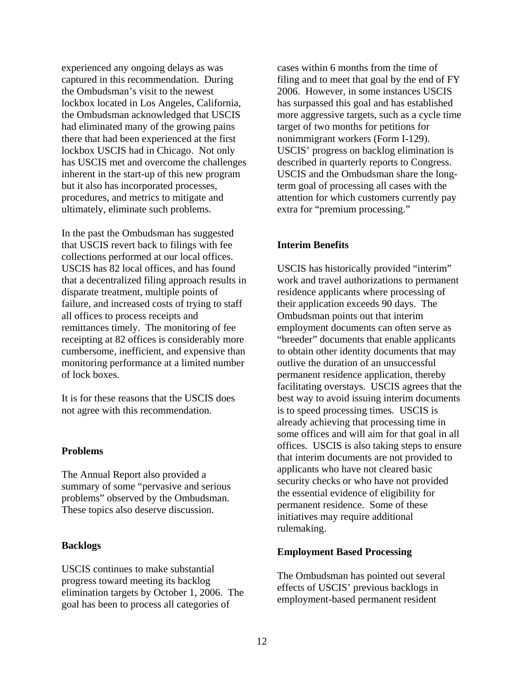experienced any ongoing delays as was captured in this recommendation. During the Ombudsman's visit to the newest lockbox located in Los Angeles, California, the Ombudsman acknowledged that USCIS had eliminated many of the growing pains there that had been experienced at the first lockbox USCIS had in Chicago. Not only has USCIS met and overcome the challenges inherent in the start-up of this new program but it also has incorporated processes, procedures, and metrics to mitigate and ultimately, eliminate such problems.

In the past the Ombudsman has suggested that USCIS revert back to filings with fee collections performed at our local offices. USCIS has 82 local offices, and has found that a decentralized filing approach results in disparate treatment, multiple points of failure, and increased costs of trying to staff all offices to process receipts and remittances timely. The monitoring of fee receipting at 82 offices is considerably more cumbersome, inefficient, and expensive than monitoring performance at a limited number of lock boxes.

It is for these reasons that the USCIS does not agree with this recommendation.

#### **Problems**

The Annual Report also provided a summary of some "pervasive and serious problems" observed by the Ombudsman. These topics also deserve discussion.

#### **Backlogs**

USCIS continues to make substantial progress toward meeting its backlog elimination targets by October 1, 2006. The goal has been to process all categories of

cases within 6 months from the time of filing and to meet that goal by the end of FY 2006. However, in some instances USCIS has surpassed this goal and has established more aggressive targets, such as a cycle time target of two months for petitions for nonimmigrant workers (Form I-129). USCIS' progress on backlog elimination is described in quarterly reports to Congress. USCIS and the Ombudsman share the longterm goal of processing all cases with the attention for which customers currently pay extra for "premium processing."

#### **Interim Benefits**

USCIS has historically provided "interim" work and travel authorizations to permanent residence applicants where processing of their application exceeds 90 days. The Ombudsman points out that interim employment documents can often serve as "breeder" documents that enable applicants to obtain other identity documents that may outlive the duration of an unsuccessful permanent residence application, thereby facilitating overstays. USCIS agrees that the best way to avoid issuing interim documents is to speed processing times. USCIS is already achieving that processing time in some offices and will aim for that goal in all offices. USCIS is also taking steps to ensure that interim documents are not provided to applicants who have not cleared basic security checks or who have not provided the essential evidence of eligibility for permanent residence. Some of these initiatives may require additional rulemaking.

#### **Employment Based Processing**

The Ombudsman has pointed out several effects of USCIS' previous backlogs in employment-based permanent resident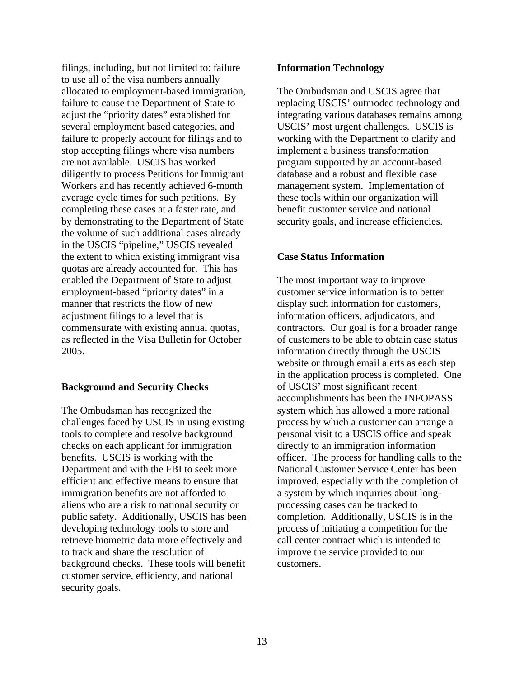filings, including, but not limited to: failure to use all of the visa numbers annually allocated to employment-based immigration, failure to cause the Department of State to adjust the "priority dates" established for several employment based categories, and failure to properly account for filings and to stop accepting filings where visa numbers are not available. USCIS has worked diligently to process Petitions for Immigrant Workers and has recently achieved 6-month average cycle times for such petitions. By completing these cases at a faster rate, and by demonstrating to the Department of State the volume of such additional cases already in the USCIS "pipeline," USCIS revealed the extent to which existing immigrant visa quotas are already accounted for. This has enabled the Department of State to adjust employment-based "priority dates" in a manner that restricts the flow of new adjustment filings to a level that is commensurate with existing annual quotas, as reflected in the Visa Bulletin for October 2005.

## **Background and Security Checks**

The Ombudsman has recognized the challenges faced by USCIS in using existing tools to complete and resolve background checks on each applicant for immigration benefits. USCIS is working with the Department and with the FBI to seek more efficient and effective means to ensure that immigration benefits are not afforded to aliens who are a risk to national security or public safety. Additionally, USCIS has been developing technology tools to store and retrieve biometric data more effectively and to track and share the resolution of background checks. These tools will benefit customer service, efficiency, and national security goals.

#### **Information Technology**

The Ombudsman and USCIS agree that replacing USCIS' outmoded technology and integrating various databases remains among USCIS' most urgent challenges. USCIS is working with the Department to clarify and implement a business transformation program supported by an account-based database and a robust and flexible case management system. Implementation of these tools within our organization will benefit customer service and national security goals, and increase efficiencies.

#### **Case Status Information**

The most important way to improve customer service information is to better display such information for customers, information officers, adjudicators, and contractors. Our goal is for a broader range of customers to be able to obtain case status information directly through the USCIS website or through email alerts as each step in the application process is completed. One of USCIS' most significant recent accomplishments has been the INFOPASS system which has allowed a more rational process by which a customer can arrange a personal visit to a USCIS office and speak directly to an immigration information officer. The process for handling calls to the National Customer Service Center has been improved, especially with the completion of a system by which inquiries about longprocessing cases can be tracked to completion. Additionally, USCIS is in the process of initiating a competition for the call center contract which is intended to improve the service provided to our customers.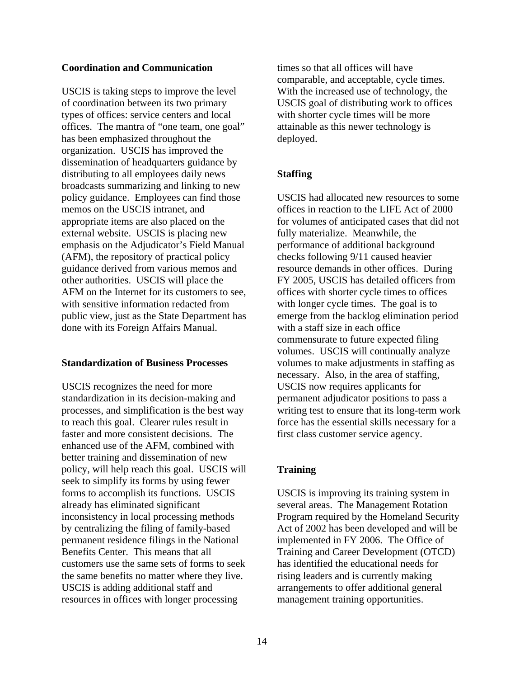### **Coordination and Communication**

USCIS is taking steps to improve the level of coordination between its two primary types of offices: service centers and local offices. The mantra of "one team, one goal" has been emphasized throughout the organization. USCIS has improved the dissemination of headquarters guidance by distributing to all employees daily news broadcasts summarizing and linking to new policy guidance. Employees can find those memos on the USCIS intranet, and appropriate items are also placed on the external website. USCIS is placing new emphasis on the Adjudicator's Field Manual (AFM), the repository of practical policy guidance derived from various memos and other authorities. USCIS will place the AFM on the Internet for its customers to see, with sensitive information redacted from public view, just as the State Department has done with its Foreign Affairs Manual.

## **Standardization of Business Processes**

USCIS recognizes the need for more standardization in its decision-making and processes, and simplification is the best way to reach this goal. Clearer rules result in faster and more consistent decisions. The enhanced use of the AFM, combined with better training and dissemination of new policy, will help reach this goal. USCIS will seek to simplify its forms by using fewer forms to accomplish its functions. USCIS already has eliminated significant inconsistency in local processing methods by centralizing the filing of family-based permanent residence filings in the National Benefits Center. This means that all customers use the same sets of forms to seek the same benefits no matter where they live. USCIS is adding additional staff and resources in offices with longer processing

times so that all offices will have comparable, and acceptable, cycle times. With the increased use of technology, the USCIS goal of distributing work to offices with shorter cycle times will be more attainable as this newer technology is deployed.

# **Staffing**

USCIS had allocated new resources to some offices in reaction to the LIFE Act of 2000 for volumes of anticipated cases that did not fully materialize. Meanwhile, the performance of additional background checks following 9/11 caused heavier resource demands in other offices. During FY 2005, USCIS has detailed officers from offices with shorter cycle times to offices with longer cycle times. The goal is to emerge from the backlog elimination period with a staff size in each office commensurate to future expected filing volumes. USCIS will continually analyze volumes to make adjustments in staffing as necessary. Also, in the area of staffing, USCIS now requires applicants for permanent adjudicator positions to pass a writing test to ensure that its long-term work force has the essential skills necessary for a first class customer service agency.

# **Training**

USCIS is improving its training system in several areas. The Management Rotation Program required by the Homeland Security Act of 2002 has been developed and will be implemented in FY 2006. The Office of Training and Career Development (OTCD) has identified the educational needs for rising leaders and is currently making arrangements to offer additional general management training opportunities.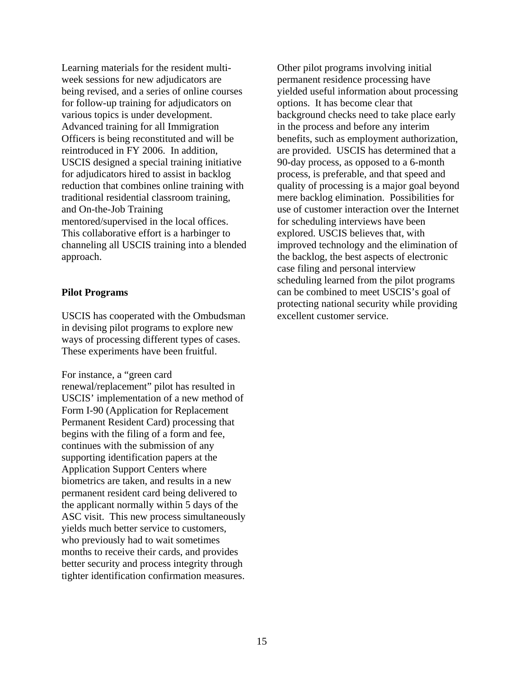Learning materials for the resident multiweek sessions for new adjudicators are being revised, and a series of online courses for follow-up training for adjudicators on various topics is under development. Advanced training for all Immigration Officers is being reconstituted and will be reintroduced in FY 2006. In addition, USCIS designed a special training initiative for adjudicators hired to assist in backlog reduction that combines online training with traditional residential classroom training, and On-the-Job Training mentored/supervised in the local offices. This collaborative effort is a harbinger to channeling all USCIS training into a blended approach.

### **Pilot Programs**

USCIS has cooperated with the Ombudsman in devising pilot programs to explore new ways of processing different types of cases. These experiments have been fruitful.

For instance, a "green card renewal/replacement" pilot has resulted in USCIS' implementation of a new method of Form I-90 (Application for Replacement Permanent Resident Card) processing that begins with the filing of a form and fee, continues with the submission of any supporting identification papers at the Application Support Centers where biometrics are taken, and results in a new permanent resident card being delivered to the applicant normally within 5 days of the ASC visit. This new process simultaneously yields much better service to customers, who previously had to wait sometimes months to receive their cards, and provides better security and process integrity through tighter identification confirmation measures.

Other pilot programs involving initial permanent residence processing have yielded useful information about processing options. It has become clear that background checks need to take place early in the process and before any interim benefits, such as employment authorization, are provided. USCIS has determined that a 90-day process, as opposed to a 6-month process, is preferable, and that speed and quality of processing is a major goal beyond mere backlog elimination. Possibilities for use of customer interaction over the Internet for scheduling interviews have been explored. USCIS believes that, with improved technology and the elimination of the backlog, the best aspects of electronic case filing and personal interview scheduling learned from the pilot programs can be combined to meet USCIS's goal of protecting national security while providing excellent customer service.